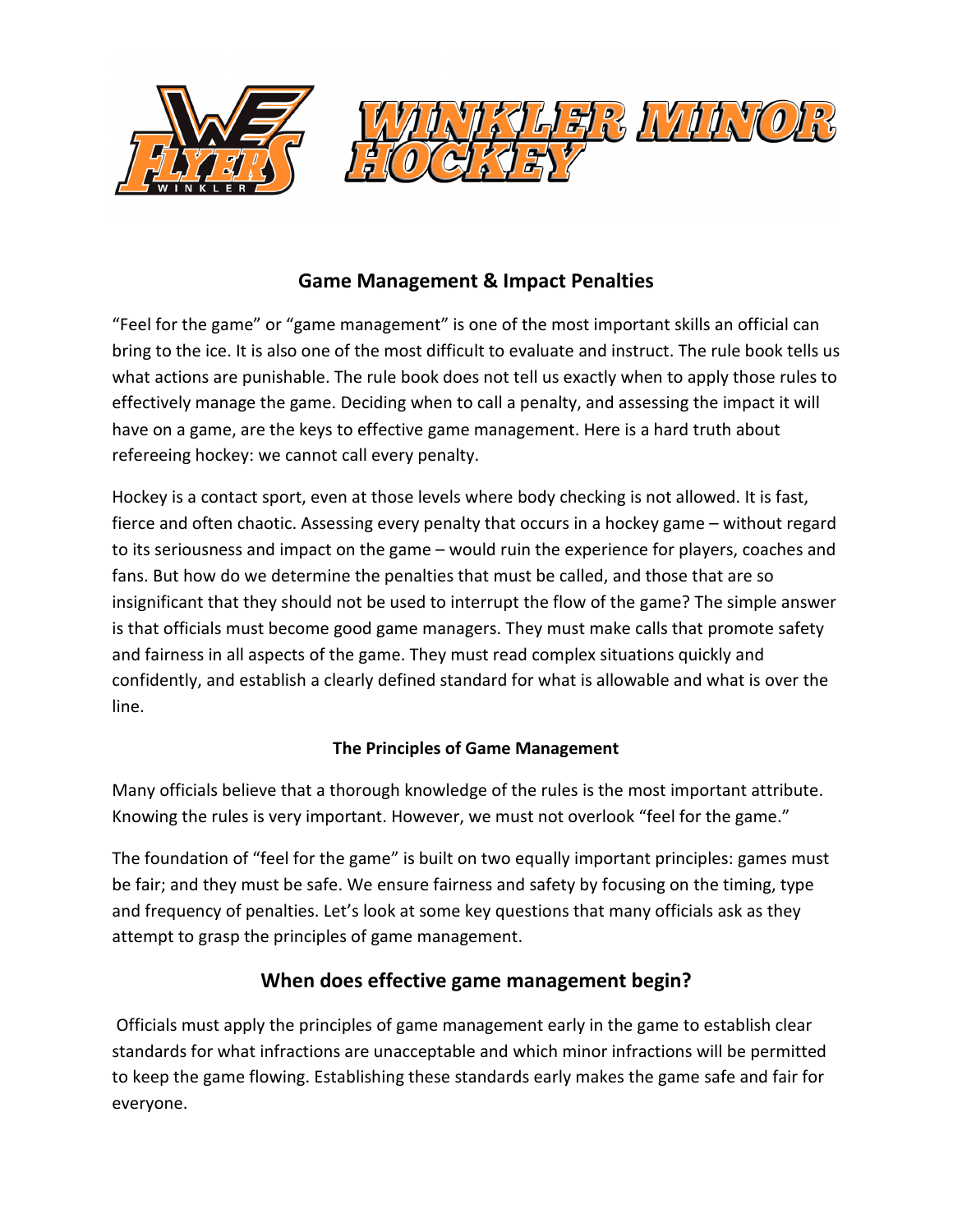

### **Game Management & Impact Penalties**

"Feel for the game" or "game management" is one of the most important skills an official can bring to the ice. It is also one of the most difficult to evaluate and instruct. The rule book tells us what actions are punishable. The rule book does not tell us exactly when to apply those rules to effectively manage the game. Deciding when to call a penalty, and assessing the impact it will have on a game, are the keys to effective game management. Here is a hard truth about refereeing hockey: we cannot call every penalty.

Hockey is a contact sport, even at those levels where body checking is not allowed. It is fast, fierce and often chaotic. Assessing every penalty that occurs in a hockey game – without regard to its seriousness and impact on the game – would ruin the experience for players, coaches and fans. But how do we determine the penalties that must be called, and those that are so insignificant that they should not be used to interrupt the flow of the game? The simple answer is that officials must become good game managers. They must make calls that promote safety and fairness in all aspects of the game. They must read complex situations quickly and confidently, and establish a clearly defined standard for what is allowable and what is over the line.

#### **The Principles of Game Management**

Many officials believe that a thorough knowledge of the rules is the most important attribute. Knowing the rules is very important. However, we must not overlook "feel for the game."

The foundation of "feel for the game" is built on two equally important principles: games must be fair; and they must be safe. We ensure fairness and safety by focusing on the timing, type and frequency of penalties. Let's look at some key questions that many officials ask as they attempt to grasp the principles of game management.

#### **When does effective game management begin?**

 Officials must apply the principles of game management early in the game to establish clear standards for what infractions are unacceptable and which minor infractions will be permitted to keep the game flowing. Establishing these standards early makes the game safe and fair for everyone.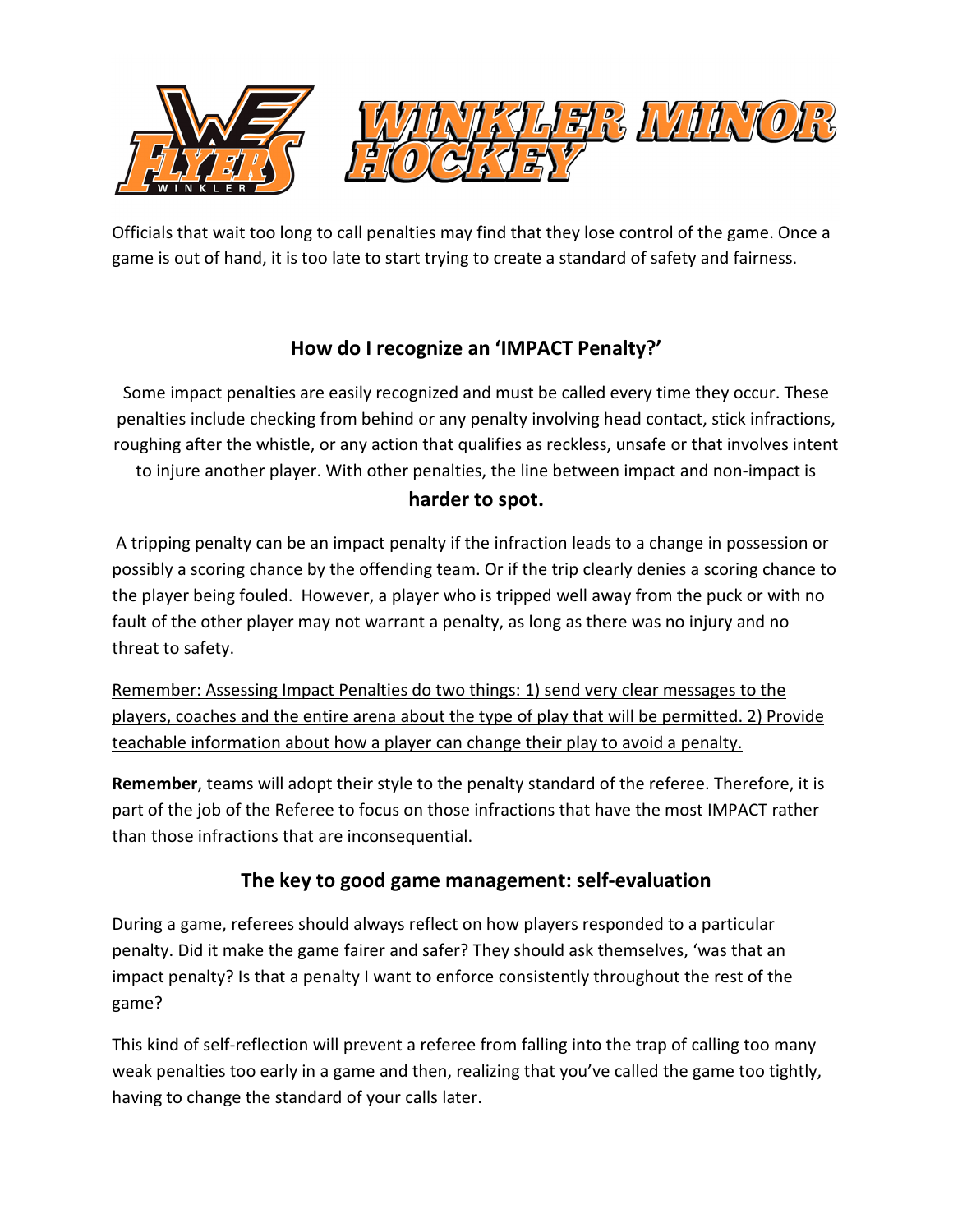

Officials that wait too long to call penalties may find that they lose control of the game. Once a game is out of hand, it is too late to start trying to create a standard of safety and fairness.

# **How do I recognize an 'IMPACT Penalty?'**

Some impact penalties are easily recognized and must be called every time they occur. These penalties include checking from behind or any penalty involving head contact, stick infractions, roughing after the whistle, or any action that qualifies as reckless, unsafe or that involves intent to injure another player. With other penalties, the line between impact and non-impact is **harder to spot.**

A tripping penalty can be an impact penalty if the infraction leads to a change in possession or possibly a scoring chance by the offending team. Or if the trip clearly denies a scoring chance to the player being fouled. However, a player who is tripped well away from the puck or with no fault of the other player may not warrant a penalty, as long as there was no injury and no threat to safety.

Remember: Assessing Impact Penalties do two things: 1) send very clear messages to the players, coaches and the entire arena about the type of play that will be permitted. 2) Provide teachable information about how a player can change their play to avoid a penalty.

**Remember**, teams will adopt their style to the penalty standard of the referee. Therefore, it is part of the job of the Referee to focus on those infractions that have the most IMPACT rather than those infractions that are inconsequential.

## **The key to good game management: self-evaluation**

During a game, referees should always reflect on how players responded to a particular penalty. Did it make the game fairer and safer? They should ask themselves, 'was that an impact penalty? Is that a penalty I want to enforce consistently throughout the rest of the game?

This kind of self-reflection will prevent a referee from falling into the trap of calling too many weak penalties too early in a game and then, realizing that you've called the game too tightly, having to change the standard of your calls later.